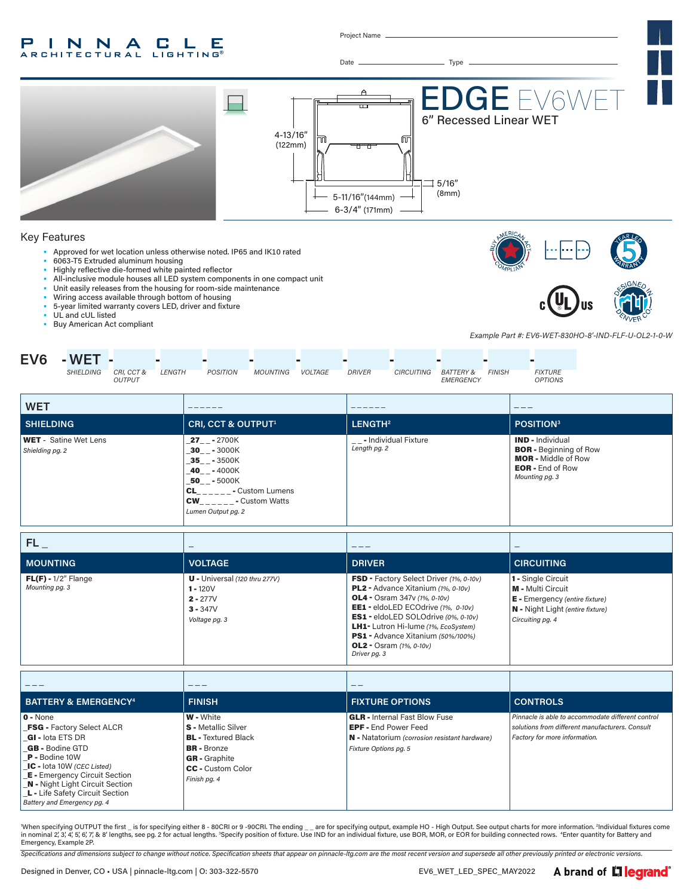#### P INNA **C L** Е **RCHITECTURAL LIGHTING**

Project Name



When specifying OUTPUT the first \_ is for specifying either 8 - 80CRI or 9 -90CRI. The ending \_ \_ are for specifying output, example HO - High Output. See output charts for more information. <sup>2</sup>Individual fixtures come in nominal 2, 3, 4, 5, 6, 7, & 8' lengths, see pg. 2 for actual lengths. <sup>3</sup>Specify position of fixture. Use IND for an individual fixture, use BOR, MOR, or EOR for building connected rows. "Enter quantity for Battery and Emergency, Example 2P.

*Specifications and dimensions subject to change without notice. Specification sheets that appear on pinnacle-ltg.com are the most recent version and supersede all other previously printed or electronic versions.*

*Battery and Emergency pg. 4*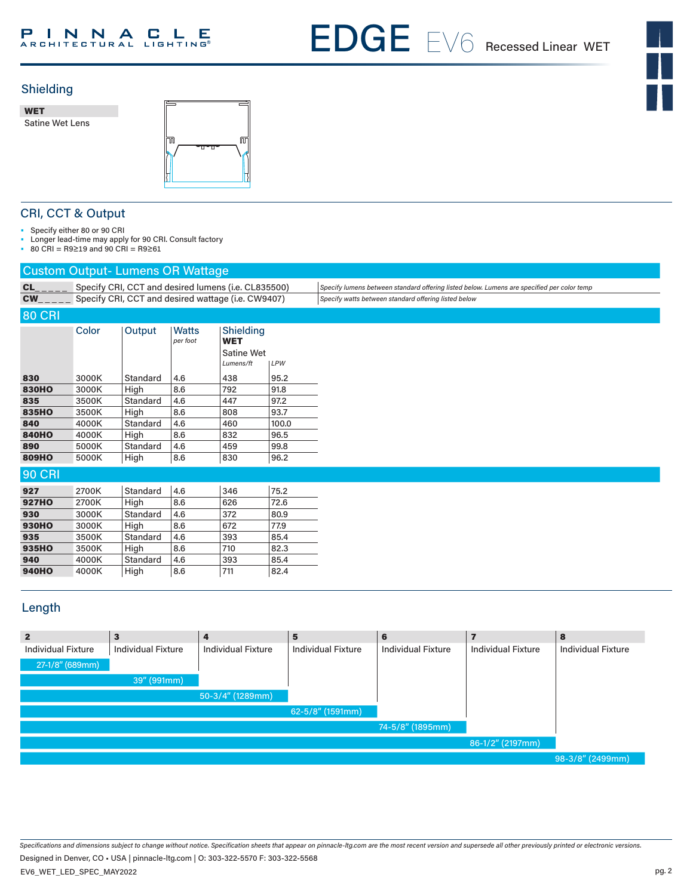# PINNACLE

EDGE 6 EX6WET



# Shielding

WET Satine Wet Lens



# CRI, CCT & Output

• Specify either 80 or 90 CRI

• Longer lead-time may apply for 90 CRI. Consult factory

• 80 CRI = R9≥19 and 90 CRI = R9≥61

# Custom Output- Lumens OR Wattage

|               | caotom catpat Lamone chi mattago |                 |                                                     |                                                    |       |                                                                                            |
|---------------|----------------------------------|-----------------|-----------------------------------------------------|----------------------------------------------------|-------|--------------------------------------------------------------------------------------------|
| CL            |                                  |                 | Specify CRI, CCT and desired lumens (i.e. CL835500) |                                                    |       | Specify lumens between standard offering listed below. Lumens are specified per color temp |
| <b>CW</b>     |                                  |                 | Specify CRI, CCT and desired wattage (i.e. CW9407)  |                                                    |       | Specify watts between standard offering listed below                                       |
| <b>80 CRI</b> |                                  |                 |                                                     |                                                    |       |                                                                                            |
|               | Color                            | Output          | <b>Watts</b><br>per foot                            | Shielding<br><b>WET</b><br>Satine Wet<br>Lumens/ft | LPW   |                                                                                            |
| 830           | 3000K                            | Standard        | 4.6                                                 | 438                                                | 95.2  |                                                                                            |
| <b>830HO</b>  | 3000K                            | High            | 8.6                                                 | 792                                                | 91.8  |                                                                                            |
| 835           | 3500K                            | Standard        | 4.6                                                 | 447                                                | 97.2  |                                                                                            |
| 835HO         | 3500K                            | High            | 8.6                                                 | 808                                                | 93.7  |                                                                                            |
| 840           | 4000K                            | <b>Standard</b> | 4.6                                                 | 460                                                | 100.0 |                                                                                            |
| <b>840HO</b>  | 4000K                            | High            | 8.6                                                 | 832                                                | 96.5  |                                                                                            |
| 890           | 5000K                            | Standard        | 4.6                                                 | 459                                                | 99.8  |                                                                                            |
| 809HO         | 5000K                            | High            | 8.6                                                 | 830                                                | 96.2  |                                                                                            |
| <b>90 CRI</b> |                                  |                 |                                                     |                                                    |       |                                                                                            |
| 927           | 2700K                            | Standard        | 4.6                                                 | 346                                                | 75.2  |                                                                                            |
| <b>927HO</b>  | 2700K                            | High            | 8.6                                                 | 626                                                | 72.6  |                                                                                            |
| 930           | 3000K                            | Standard        | 4.6                                                 | 372                                                | 80.9  |                                                                                            |
| <b>930HO</b>  | 3000K                            | High            | 8.6                                                 | 672                                                | 77.9  |                                                                                            |
| 935           | 3500K                            | Standard        | 4.6                                                 | 393                                                | 85.4  |                                                                                            |
| 935HO         | 3500K                            | High            | 8.6                                                 | 710                                                | 82.3  |                                                                                            |
| 940           | 4000K                            | <b>Standard</b> | 4.6                                                 | 393                                                | 85.4  |                                                                                            |
| <b>940HO</b>  | 4000K                            | High            | 8.6                                                 | 711                                                | 82.4  |                                                                                            |
|               |                                  |                 |                                                     |                                                    |       |                                                                                            |

# Length

| $\overline{2}$            | $\mathbf{3}$              |                           | 5                         | 6                         |                           | 8                         |
|---------------------------|---------------------------|---------------------------|---------------------------|---------------------------|---------------------------|---------------------------|
| <b>Individual Fixture</b> | <b>Individual Fixture</b> | <b>Individual Fixture</b> | <b>Individual Fixture</b> | <b>Individual Fixture</b> | <b>Individual Fixture</b> | <b>Individual Fixture</b> |
| 27-1/8" (689mm)           |                           |                           |                           |                           |                           |                           |
|                           | 39" (991mm)               |                           |                           |                           |                           |                           |
|                           |                           | $50-3/4''$ (1289mm)       |                           |                           |                           |                           |
|                           |                           |                           | 62-5/8" (1591mm)          |                           |                           |                           |
|                           |                           |                           |                           | 74-5/8" (1895mm)          |                           |                           |
|                           |                           |                           |                           |                           | 86-1/2" (2197mm)          |                           |
|                           |                           |                           |                           |                           |                           | 98-3/8" (2499mm)          |

*Specifications and dimensions subject to change without notice. Specification sheets that appear on pinnacle-ltg.com are the most recent version and supersede all other previously printed or electronic versions.*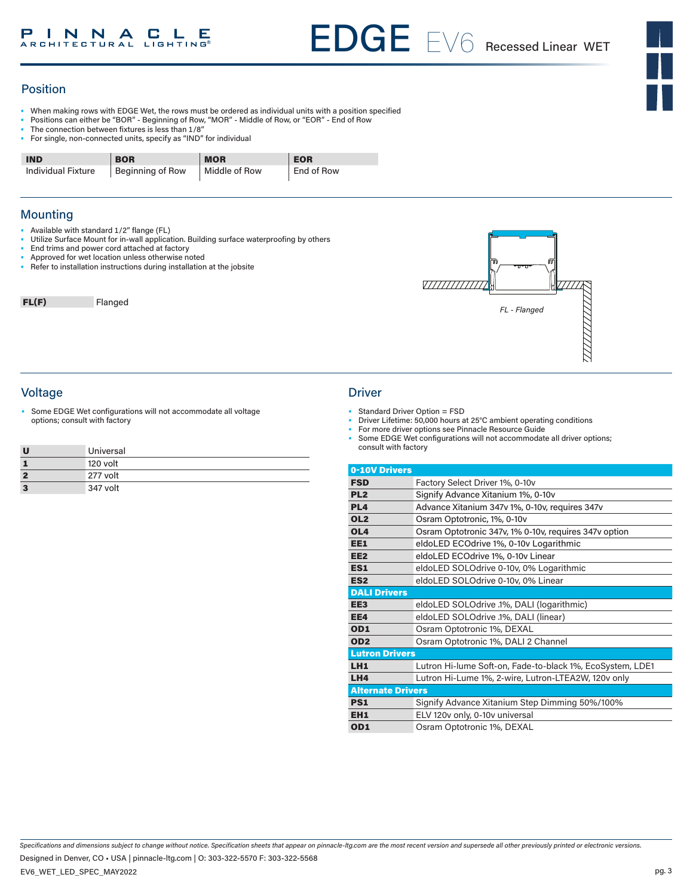### Position

- When making rows with EDGE Wet, the rows must be ordered as individual units with a position specified
- Positions can either be "BOR" Beginning of Row, "MOR" Middle of Row, or "EOR" End of Row
- The connection between fixtures is less than 1/8"
- For single, non-connected units, specify as "IND" for individual

| <b>IND</b>                | <b>BOR</b>       | <b>MOR</b>    | <b>EOR</b> |
|---------------------------|------------------|---------------|------------|
| <b>Individual Fixture</b> | Beginning of Row | Middle of Row | End of Row |

### **Mounting**

- Available with standard 1/2" flange (FL)
- Utilize Surface Mount for in-wall application. Building surface waterproofing by others
- End trims and power cord attached at factory Approved for wet location unless otherwise noted
- Refer to installation instructions during installation at the jobsite

FL(F) Flanged



### Voltage Driver

Some EDGE Wet configurations will not accommodate all voltage options; consult with factory

|    | Universal |
|----|-----------|
|    | 120 volt  |
|    | 277 volt  |
| -3 | 347 volt  |

- Standard Driver Option = FSD
	- Driver Lifetime: 50,000 hours at 25°C ambient operating conditions
- For more driver options see Pinnacle Resource Guide
- Some EDGE Wet configurations will not accommodate all driver options; consult with factory

| 0-10V Drivers            |                                                           |
|--------------------------|-----------------------------------------------------------|
| <b>FSD</b>               | Factory Select Driver 1%, 0-10y                           |
| PL <sub>2</sub>          | Signify Advance Xitanium 1%, 0-10v                        |
| PL <sub>4</sub>          | Advance Xitanium 347v 1%, 0-10v, requires 347v            |
| OL <sub>2</sub>          | Osram Optotronic, 1%, 0-10y                               |
| OL <sub>4</sub>          | Osram Optotronic 347v, 1% 0-10v, requires 347v option     |
| EE1                      | eldoLED ECOdrive 1%, 0-10v Logarithmic                    |
| EE <sub>2</sub>          | eldoLED ECOdrive 1%, 0-10v Linear                         |
| ES <sub>1</sub>          | eldoLED SOLOdrive 0-10v, 0% Logarithmic                   |
| ES <sub>2</sub>          | eldoLED SOLOdrive 0-10v, 0% Linear                        |
| <b>DALI Drivers</b>      |                                                           |
| EE <sub>3</sub>          | eldoLED SOLOdrive .1%, DALI (logarithmic)                 |
| EE4                      | eldoLED SOLOdrive .1%, DALI (linear)                      |
| OD <sub>1</sub>          | Osram Optotronic 1%, DEXAL                                |
| OD <sub>2</sub>          | Osram Optotronic 1%, DALI 2 Channel                       |
| <b>Lutron Drivers</b>    |                                                           |
| LH <sub>1</sub>          | Lutron Hi-lume Soft-on, Fade-to-black 1%, EcoSystem, LDE1 |
| LH4                      | Lutron Hi-Lume 1%, 2-wire, Lutron-LTEA2W, 120v only       |
| <b>Alternate Drivers</b> |                                                           |
| <b>PS1</b>               | Signify Advance Xitanium Step Dimming 50%/100%            |
| EH <sub>1</sub>          | ELV 120v only, 0-10v universal                            |
| OD <sub>1</sub>          | Osram Optotronic 1%, DEXAL                                |

*Specifications and dimensions subject to change without notice. Specification sheets that appear on pinnacle-ltg.com are the most recent version and supersede all other previously printed or electronic versions.* Designed in Denver, CO • USA | pinnacle-ltg.com | O: 303-322-5570 F: 303-322-5568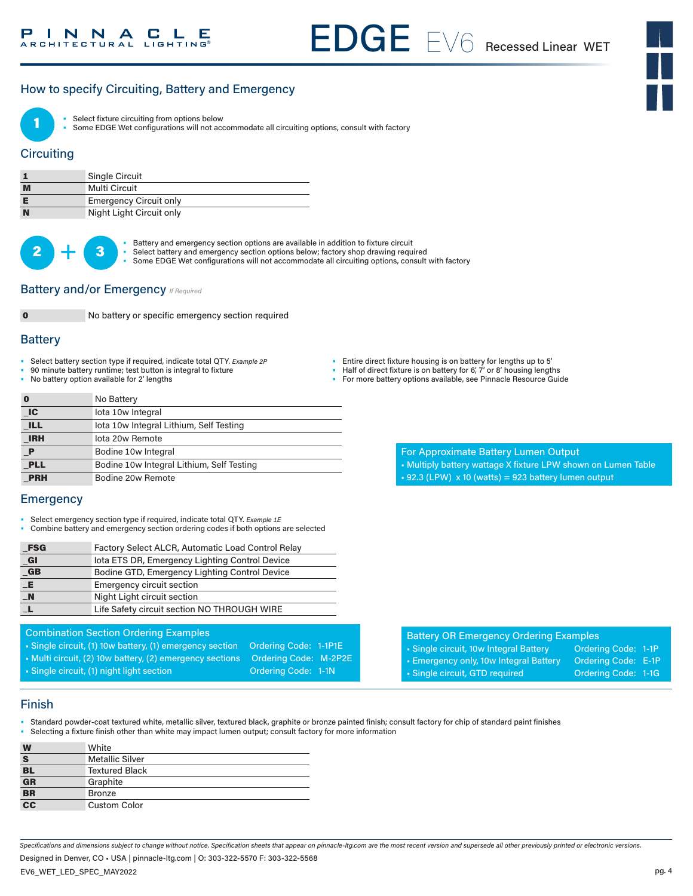# How to specify Circuiting, Battery and Emergency



Select fixture circuiting from options below

• Some EDGE Wet configurations will not accommodate all circuiting options, consult with factory

### **Circuiting**

|   | <b>Single Circuit</b>         |
|---|-------------------------------|
| M | Multi Circuit                 |
|   | <b>Emergency Circuit only</b> |
| N | Night Light Circuit only      |

 $2 +$ 

Battery and emergency section options are available in addition to fixture circuit

- Select battery and emergency section options below; factory shop drawing required
	- Some EDGE Wet configurations will not accommodate all circuiting options, consult with factory

#### Battery and/or Emergency *If Required*



No battery or specific emergency section required

#### **Battery**

- Select battery section type if required, indicate total QTY*. Example 2P*
- 90 minute battery runtime; test button is integral to fixture
- No battery option available for 2' lengths

- Half of direct fixture is on battery for 6', 7' or 8' housing lengths
- For more battery options available, see Pinnacle Resource Guide

|                             | No Battery                                |
|-----------------------------|-------------------------------------------|
| $\overline{\phantom{a}}$ IC | lota 10w Integral                         |
| <b>ILL</b>                  | lota 10w Integral Lithium, Self Testing   |
| <b>IRH</b>                  | lota 20w Remote                           |
| $\mathbf P$                 | Bodine 10w Integral                       |
| <b>PLL</b>                  | Bodine 10w Integral Lithium, Self Testing |
| <b>PRH</b>                  | Bodine 20w Remote                         |

#### **Emergency**

- Select emergency section type if required, indicate total QTY. *Example 1E*
- Combine battery and emergency section ordering codes if both options are selected

| $_F$ SG                  | Factory Select ALCR, Automatic Load Control Relay |
|--------------------------|---------------------------------------------------|
| $_{\blacksquare}$ Gl     | lota ETS DR, Emergency Lighting Control Device    |
| G                        | Bodine GTD, Emergency Lighting Control Device     |
|                          | <b>Emergency circuit section</b>                  |
|                          | Night Light circuit section                       |
|                          | Life Safety circuit section NO THROUGH WIRE       |
| $-E$<br>$\blacksquare$ N |                                                   |

### Combination Section Ordering Examples

- Single circuit, (1) 10w battery, (1) emergency section Ordering Code: 1-1P1E
- Multi circuit, (2) 10w battery, (2) emergency sections Ordering Code: M-2P2E

• Single circuit, (1) night light section **Ordering Code: 1-1N** 

For Approximate Battery Lumen Output

- Multiply battery wattage X fixture LPW shown on Lumen Table
- $\text{-}$  92.3 (LPW) x 10 (watts) = 923 battery lumen output

| <b>Battery OR Emergency Ordering Examples</b> |                     |  |
|-----------------------------------------------|---------------------|--|
| • Single circuit, 10w Integral Battery        | Ordering Code: 1-1P |  |
| • Emergency only, 10w Integral Battery        | Ordering Code: E-1P |  |
| · Single circuit, GTD required                | Ordering Code: 1-1G |  |
|                                               |                     |  |

#### Finish

- Standard powder-coat textured white, metallic silver, textured black, graphite or bronze painted finish; consult factory for chip of standard paint finishes<br>• Selecting a fixture finish other than white may impact lumen
- Selecting a fixture finish other than white may impact lumen output; consult factory for more information

| W                        | White                  |
|--------------------------|------------------------|
| S                        | <b>Metallic Silver</b> |
| <b>BL</b>                | <b>Textured Black</b>  |
| GR                       | Graphite               |
| <b>BR</b>                | Bronze                 |
| $\overline{\mathbf{cc}}$ | <b>Custom Color</b>    |

*Specifications and dimensions subject to change without notice. Specification sheets that appear on pinnacle-ltg.com are the most recent version and supersede all other previously printed or electronic versions.*

Designed in Denver, CO • USA | pinnacle-ltg.com | O: 303-322-5570 F: 303-322-5568